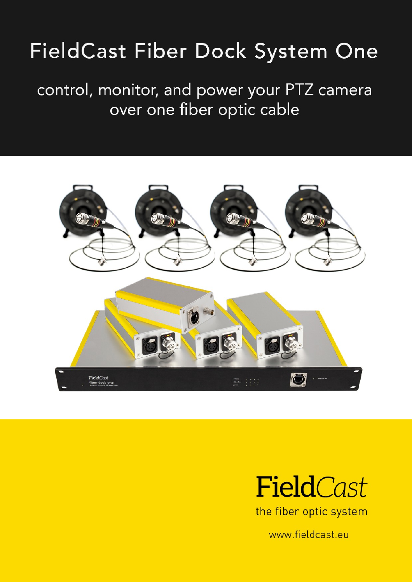# FieldCast Fiber Dock System One

### control, monitor, and power your PTZ camera over one fiber optic cable





the fiber optic system

www.fieldcast.eu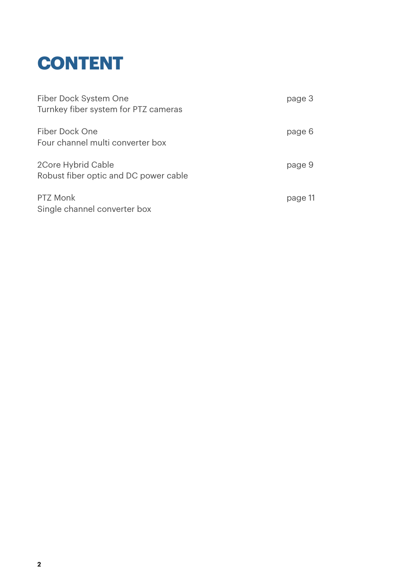

| Fiber Dock System One<br>Turnkey fiber system for PTZ cameras | page 3  |
|---------------------------------------------------------------|---------|
| Fiber Dock One<br>Four channel multi converter box            | page 6  |
| 2Core Hybrid Cable<br>Robust fiber optic and DC power cable   | page 9  |
| PTZ Monk<br>Single channel converter box                      | page 11 |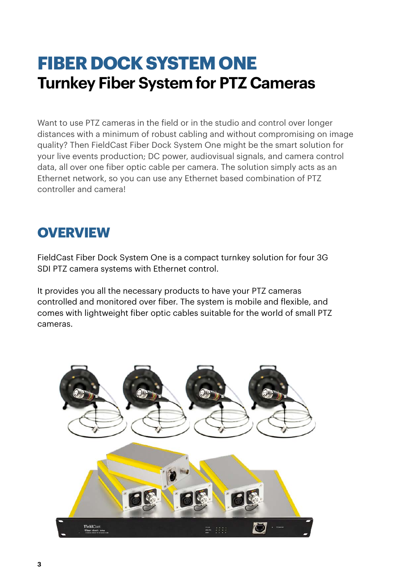# **FIBER DOCK SYSTEM ONE Turnkey Fiber System for PTZ Cameras**

Want to use PTZ cameras in the field or in the studio and control over longer distances with a minimum of robust cabling and without compromising on image quality? Then FieldCast Fiber Dock System One might be the smart solution for your live events production; DC power, audiovisual signals, and camera control data, all over one fiber optic cable per camera. The solution simply acts as an Ethernet network, so you can use any Ethernet based combination of PTZ controller and camera!

#### **OVERVIEW**

FieldCast Fiber Dock System One is a compact turnkey solution for four 3G SDI PTZ camera systems with Ethernet control.

It provides you all the necessary products to have your PTZ cameras controlled and monitored over fiber. The system is mobile and flexible, and comes with lightweight fiber optic cables suitable for the world of small PTZ cameras.

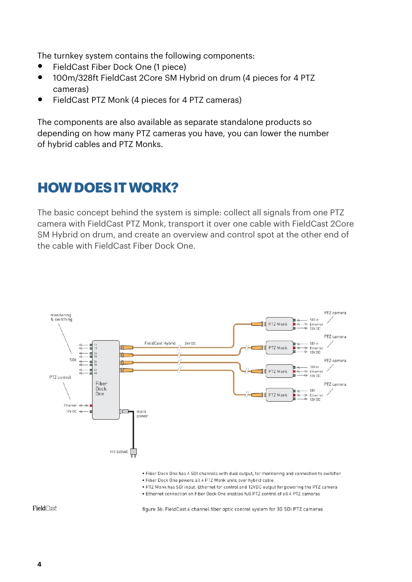The turnkey system contains the following components:

- FieldCast Fiber Dock One (1 piece)
- 100m/328ft FieldCast 2Core SM Hybrid on drum (4 pieces for 4 PTZ cameras)
- FieldCast PTZ Monk (4 pieces for 4 PTZ cameras)

The components are also available as separate standalone products so depending on how many PTZ cameras you have, you can lower the number of hybrid cables and PTZ Monks.

### **HOW DOES IT WORK?**

The basic concept behind the system is simple: collect all signals from one PTZ camera with FieldCast PTZ Monk, transport it over one cable with FieldCast 2Core SM Hybrid on drum, and create an overview and control spot at the other end of the cable with FieldCast Fiber Dock One.



FieldCast

figure 36: FieldCast 4 channel fiber optic control system for 3G SDI PTZ cameras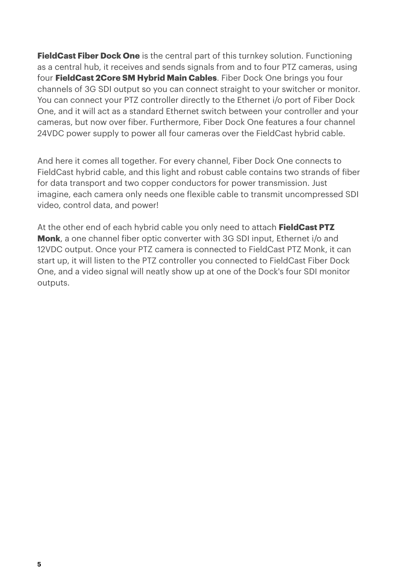**FieldCast Fiber Dock One** is the central part of this turnkey solution. Functioning as a central hub, it receives and sends signals from and to four PTZ cameras, using four **FieldCast 2Core SM Hybrid Main Cables**. Fiber Dock One brings you four channels of 3G SDI output so you can connect straight to your switcher or monitor. You can connect your PTZ controller directly to the Ethernet i/o port of Fiber Dock One, and it will act as a standard Ethernet switch between your controller and your cameras, but now over fiber. Furthermore, Fiber Dock One features a four channel 24VDC power supply to power all four cameras over the FieldCast hybrid cable.

And here it comes all together. For every channel, Fiber Dock One connects to FieldCast hybrid cable, and this light and robust cable contains two strands of fiber for data transport and two copper conductors for power transmission. Just imagine, each camera only needs one flexible cable to transmit uncompressed SDI video, control data, and power!

At the other end of each hybrid cable you only need to attach **FieldCast PTZ Monk**, a one channel fiber optic converter with 3G SDI input, Ethernet i/o and 12VDC output. Once your PTZ camera is connected to FieldCast PTZ Monk, it can start up, it will listen to the PTZ controller you connected to FieldCast Fiber Dock One, and a video signal will neatly show up at one of the Dock's four SDI monitor outputs.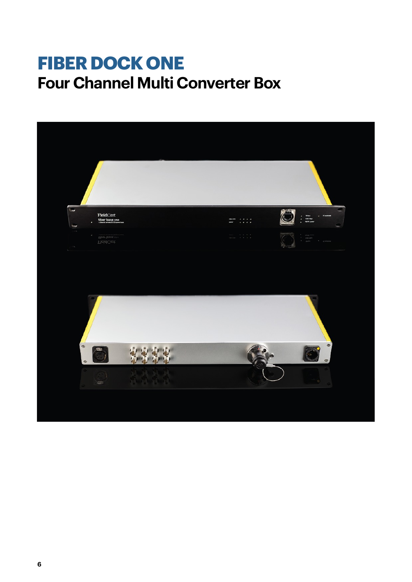# **FIBER DOCK ONE Four Channel Multi Converter Box**

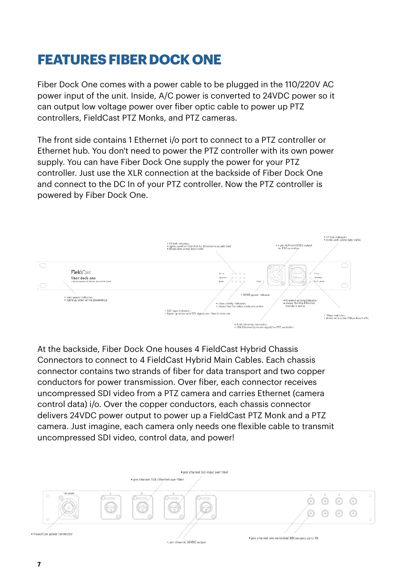### **FEATURES FIBER DOCK ONE**

Fiber Dock One comes with a power cable to be plugged in the 110/220V AC power input of the unit. Inside, A/C power is converted to 24VDC power so it can output low voltage power over fiber optic cable to power up PTZ controllers, FieldCast PTZ Monks, and PTZ cameras.

The front side contains 1 Ethernet i/o port to connect to a PTZ controller or Ethernet hub. You don't need to power the PTZ controller with its own power supply. You can have Fiber Dock One supply the power for your PTZ controller. Just use the XLR connection at the backside of Fiber Dock One and connect to the DC In of your PTZ controller. Now the PTZ controller is powered by Fiber Dock One.



At the backside, Fiber Dock One houses 4 FieldCast Hybrid Chassis Connectors to connect to 4 FieldCast Hybrid Main Cables. Each chassis connector contains two strands of fiber for data transport and two copper conductors for power transmission. Over fiber, each connector receives uncompressed SDI video from a PTZ camera and carries Ethernet (camera control data) i/o. Over the copper conductors, each chassis connector delivers 24VDC power output to power up a FieldCast PTZ Monk and a PTZ camera. Just imagine, each camera only needs one flexible cable to transmit uncompressed SDI video, control data, and power!

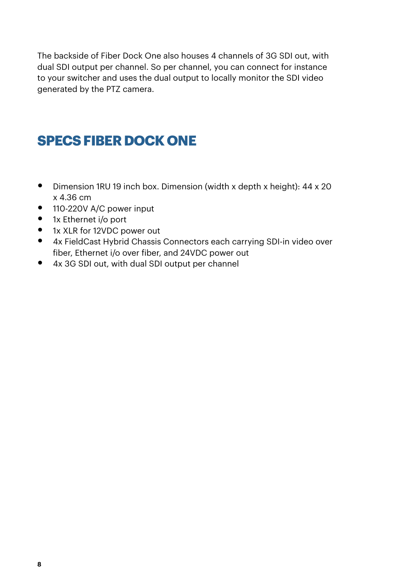The backside of Fiber Dock One also houses 4 channels of 3G SDI out, with dual SDI output per channel. So per channel, you can connect for instance to your switcher and uses the dual output to locally monitor the SDI video generated by the PTZ camera.

### **SPECS FIBER DOCK ONE**

- Dimension 1RU 19 inch box. Dimension (width x depth x height): 44 x 20 x 4.36 cm
- 110-220V A/C power input
- 1x Ethernet i/o port
- 1x XLR for 12VDC power out
- 4x FieldCast Hybrid Chassis Connectors each carrying SDI-in video over fiber, Ethernet i/o over fiber, and 24VDC power out
- 4x 3G SDI out, with dual SDI output per channel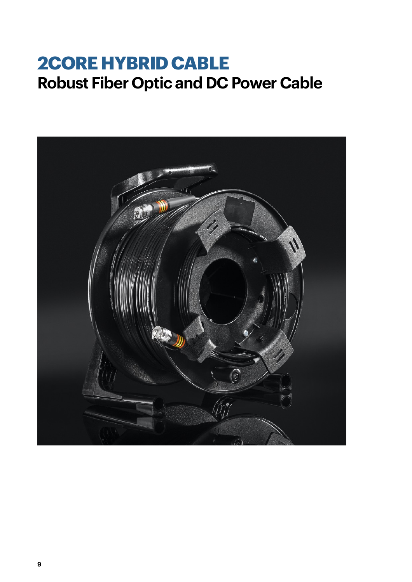# **2CORE HYBRID CABLE Robust Fiber Optic and DC Power Cable**

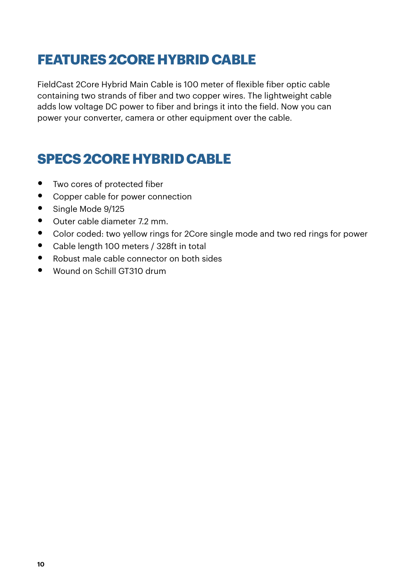#### **FEATURES 2CORE HYBRID CABLE**

FieldCast 2Core Hybrid Main Cable is 100 meter of flexible fiber optic cable containing two strands of fiber and two copper wires. The lightweight cable adds low voltage DC power to fiber and brings it into the field. Now you can power your converter, camera or other equipment over the cable.

### **SPECS 2CORE HYBRID CABLE**

- Two cores of protected fiber
- Copper cable for power connection
- Single Mode 9/125
- Outer cable diameter 7.2 mm.
- Color coded: two yellow rings for 2Core single mode and two red rings for power
- Cable length 100 meters / 328ft in total
- Robust male cable connector on both sides
- Wound on Schill GT310 drum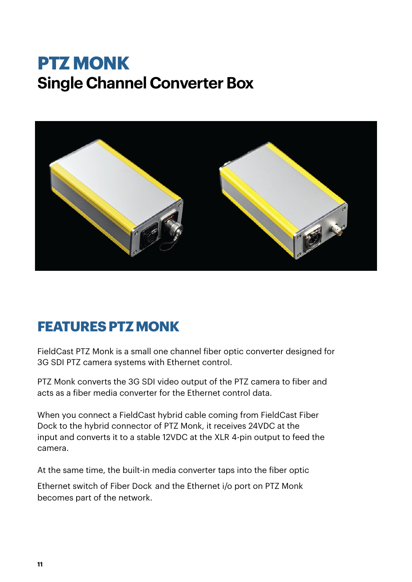# **PTZ MONK Single Channel Converter Box**



#### **FEATURES PTZ MONK**

FieldCast PTZ Monk is a small one channel fiber optic converter designed for 3G SDI PTZ camera systems with Ethernet control.

PTZ Monk converts the 3G SDI video output of the PTZ camera to fiber and acts as a fiber media converter for the Ethernet control data.

When you connect a FieldCast hybrid cable coming from FieldCast Fiber Dock to the hybrid connector of PTZ Monk, it receives 24VDC at the input and converts it to a stable 12VDC at the XLR 4-pin output to feed the camera.

At the same time, the built-in media converter taps into the fiber optic

Ethernet switch of Fiber Dock and the Ethernet i/o port on PTZ Monk becomes part of the network.